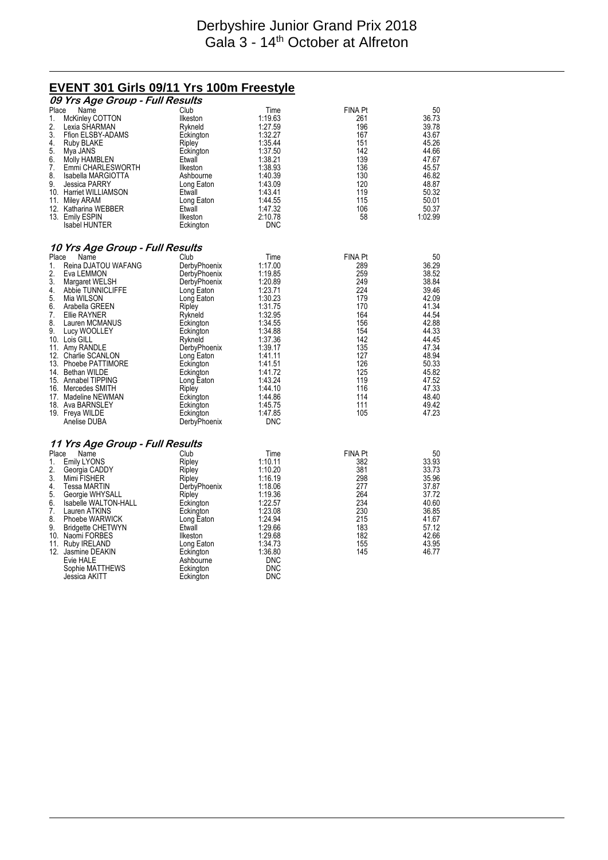### Derbyshire Junior Grand Prix 2018 Gala 3 - 14<sup>th</sup> October at Alfreton

# **EVENT 301 Girls 09/11 Yrs 100m Freestyle**

|                                                                                                                                                                                                                                                                                                                                                                                                      | 09 Yrs Age Group - Full Results                                                                          |                                                                                                                                                                                                                                                                                   |                                                                                                                                                                                                                                     |                                                                                                                                                     |                                                                                                                                                                               |
|------------------------------------------------------------------------------------------------------------------------------------------------------------------------------------------------------------------------------------------------------------------------------------------------------------------------------------------------------------------------------------------------------|----------------------------------------------------------------------------------------------------------|-----------------------------------------------------------------------------------------------------------------------------------------------------------------------------------------------------------------------------------------------------------------------------------|-------------------------------------------------------------------------------------------------------------------------------------------------------------------------------------------------------------------------------------|-----------------------------------------------------------------------------------------------------------------------------------------------------|-------------------------------------------------------------------------------------------------------------------------------------------------------------------------------|
| Place<br>Name<br>1.<br>2.<br>Lexia SHARMAN<br>3.<br>4.<br>Ruby BLAKE<br>5.<br>Mya JANS<br>6.<br>Molly HAMBLEN<br>7.<br>8.<br>9.<br>Jessica PARRY<br>10. Harriet WILLIAMSON<br>11. Miley ARAM<br>12. Katharina WEBBER<br>13. Emily ESPIN<br><b>Isabel HUNTER</b>                                                                                                                                      | McKinley COTTON<br>Ffion ELSBY-ADAMS<br>Emmi CHARLESWORTH<br>Isabella MARGIOTTA                          | Club<br>Ilkeston<br>Rykneld<br>Eckington<br>Ripley<br>Eckington<br>Etwall<br>Ilkeston<br>Ashbourne<br>Long Eaton<br>Etwall<br>Long Eaton<br>Etwall<br>Ilkeston<br>Eckington                                                                                                       | Time<br>1:19.63<br>1:27.59<br>1:32.27<br>1:35.44<br>1:37.50<br>1:38.21<br>1:38.93<br>1:40.39<br>1:43.09<br>1.43.41<br>1:44.55<br>1:47.32<br>2:10.78<br><b>DNC</b>                                                                   | <b>FINA Pt</b><br>261<br>196<br>167<br>151<br>142<br>139<br>136<br>130<br>120<br>119<br>115<br>106<br>58                                            | 50<br>36.73<br>39.78<br>43.67<br>45.26<br>44.66<br>47.67<br>45.57<br>46.82<br>48.87<br>50.32<br>50.01<br>50.37<br>1:02.99                                                     |
|                                                                                                                                                                                                                                                                                                                                                                                                      | 10 Yrs Age Group - Full Results                                                                          |                                                                                                                                                                                                                                                                                   |                                                                                                                                                                                                                                     |                                                                                                                                                     |                                                                                                                                                                               |
| Place<br>Name<br>1.<br>2.<br>Eva LEMMON<br>3.<br>Margaret WELSH<br>4.<br>5.<br>Mia WILSON<br>6.<br>Arabella GREEN<br>7.<br>Ellie RAYNER<br>8.<br>9.<br>Lucy WOOLLEY<br>10. Lois GILL<br>11. Amy RANDLE<br>12. Charlie SCANLON<br>13. Phoebe PATTIMORE<br>14. Bethan WILDE<br>15. Annabel TIPPING<br>16. Mercedes SMITH<br>17. Madeline NEWMAN<br>18. Ava BARNSLEY<br>19. Freya WILDE<br>Anelise DUBA | Reina DJATOU WAFANG<br>Abbie TUNNICLIFFE<br>Lauren MCMANUS                                               | Club<br>DerbyPhoenix<br>DerbyPhoenix<br>DerbyPhoenix<br>Long Eaton<br>Long Eaton<br>Ripley<br>Rykneld<br>Eckington<br>Eckington<br>Rykneld<br>DerbyPhoenix<br>Long Eaton<br>Eckington<br>Eckington<br>Long Eaton<br>Ripley<br>Eckington<br>Eckington<br>Eckington<br>DerbyPhoenix | Time<br>1:17.00<br>1:19.85<br>1:20.89<br>1:23.71<br>1:30.23<br>1:31.75<br>1:32.95<br>1:34.55<br>1:34.88<br>1:37.36<br>1.39.17<br>1:41.11<br>1:41.51<br>1:41.72<br>1:43.24<br>1:44.10<br>1:44.86<br>1:45.75<br>1:47.85<br><b>DNC</b> | <b>FINA Pt</b><br>289<br>259<br>249<br>224<br>179<br>170<br>164<br>156<br>154<br>142<br>135<br>127<br>126<br>125<br>119<br>116<br>114<br>111<br>105 | 50<br>36.29<br>38.52<br>38.84<br>39.46<br>42.09<br>41.34<br>44.54<br>42.88<br>44.33<br>44.45<br>47.34<br>48.94<br>50.33<br>45.82<br>47.52<br>47.33<br>48.40<br>49.42<br>47.23 |
|                                                                                                                                                                                                                                                                                                                                                                                                      | 11 Yrs Age Group - Full Results                                                                          |                                                                                                                                                                                                                                                                                   |                                                                                                                                                                                                                                     |                                                                                                                                                     |                                                                                                                                                                               |
| Place<br>Name<br><b>Emily LYONS</b><br>1.<br>2.<br>Georgia CADDY<br>3.<br>Mimi FISHER<br>4.<br>Tessa MARTIN<br>5.<br>6.<br>7.<br>Lauren ATKINS<br>8.<br>9.<br>10. Naomi FORBES<br>11. Ruby IRELAND<br>12. Jasmine DEAKIN<br>Evie HALE<br>Jessica AKITT                                                                                                                                               | Georgie WHYSALL<br>Isabelle WALTON-HALL<br>Phoebe WARWICK<br><b>Bridgette CHETWYN</b><br>Sophie MATTHEWS | Club<br>Ripley<br>Ripley<br>Ripley<br>DerbyPhoenix<br>Ripley<br>Eckington<br>Eckington<br>Long Eaton<br>Etwall<br>Ilkeston<br>Long Eaton<br>Eckington<br>Ashbourne<br>Eckington<br>Eckington                                                                                      | Time<br>1:10.11<br>1:10.20<br>1:16.19<br>1:18.06<br>1:19.36<br>1:22.57<br>1:23.08<br>1:24.94<br>1:29.66<br>1:29.68<br>1:34.73<br>1:36.80<br><b>DNC</b><br><b>DNC</b><br><b>DNC</b>                                                  | <b>FINA Pt</b><br>382<br>381<br>298<br>277<br>264<br>234<br>230<br>215<br>183<br>182<br>155<br>145                                                  | 50<br>33.93<br>33.73<br>35.96<br>37.87<br>37.72<br>40.60<br>36.85<br>41.67<br>57.12<br>42.66<br>43.95<br>46.77                                                                |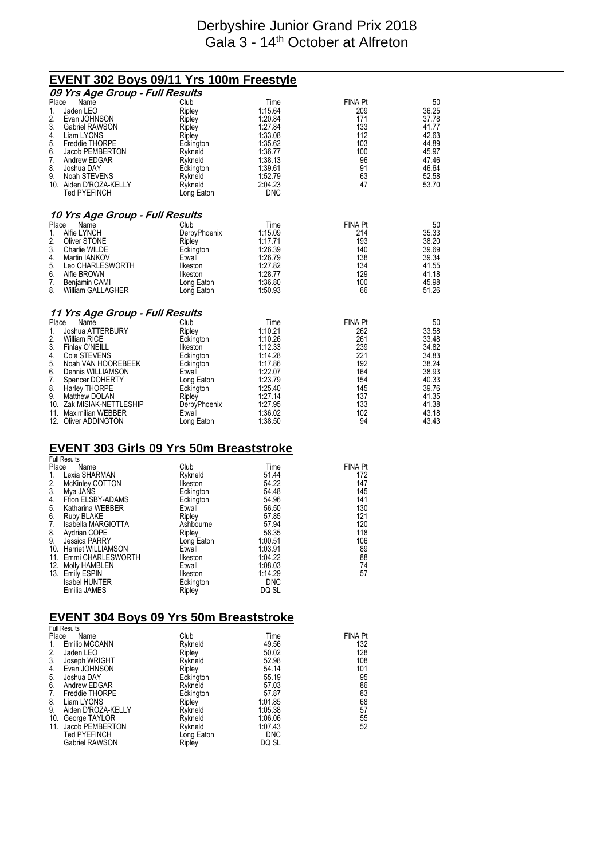### Derbyshire Junior Grand Prix 2018 Gala 3 - 14<sup>th</sup> October at Alfreton

#### **EVENT 302 Boys 09/11 Yrs 100m Freestyle 09 Yrs Age Group - Full Results** Place Name Club Time FINA Pt 50 1. Jaden LEO Ripley 1:15.64 209 36.25 2. Evan JOHNSON Ripley 1:20.84 171 37.78 3. Gabriel RAWSON Ripley 1:27.84 133 41.77<br>
4. Liam LYONS Ripley 1:33.08 112 42.63<br>
5. Freddie THORPE Eckington 1:35.62 103 44.89 4. Liam LYONS Ripley 1:33.08 112 42.63 5. Freddie THORPE Eckington 1:35.62 103 44.89 6. Jacob PEMBERTON Rykneld 1:36.77 100 45.97 7. Andrew EDGAR Rykneld 1:38.13 96 47.46 8. Joshua DAY Eckington 1:39.61 91 46.64 9. Noah STEVENS Rykneld 1:52.79 63 52.58 10. Aiden D'ROZA-KELLY Rykneld 2:04.23<br>Ted PYFFINCH 1 ong Faton DNC Ted PYEFINCH Long Eaton **10 Yrs Age Group - Full Results** Place Name **Club** Club Time **FINA Pt** 50 1. Alfie LYNCH DerbyPhoenix 1:15.09 214 35.33 2. Oliver STONE Ripley Ripley 1:17.71 193 38.20<br>
2. Oliver STONE Ripley 1:17.71 193 38.20<br>
3. Charlie WILDE Eckington 1:26.39 140 39.69<br>
4. Martin IANKOV Etwall 1:26.79 138 39.34 13. Charlie WILDE **1:26.39** 126.39 140 39.69<br>
Martin IANKOV **1:26.39** 1:26.79 138 39.34 4. Martin IANKOV Etwall 1:26.79 138 39.34 5. Leo CHARLESWORTH Ilkeston 1:27.82 134 41.55 6. Alfie BROWN Ilkeston 1:28.77 129 41.18 7. Benjamin CAMI Long Eaton 1:36.80 100 45.98 8. William GALLAGHER Long Eaton 1:50.93 66 51.26 **11 Yrs Age Group - Full Results** Place Name **Club** Club Time **FINA Pt** 50 1. Joshua ATTERBURY Ripley 1:10.21 262 33.58 2. William RICE Eckington 1:10.26 261 33.48 3. Finlay O'NEILL Ilkeston 1:12.33 239 34.82 4. Cole STEVENS Eckington 1:14.28 221 34.83 5. Noah VAN HOOREBEEK Eckington 1:17.86 192 38.24 6. Dennis WILLIAMSON Etwall 1:22.07 164 38.93 7. Spencer DOHERTY Long Eaton 1:23.79 154 40.33 8. Harley THORPE Eckington 1:25.40 145 39.76 9. Matthew DOLAN Ripley Ripley 1:27.14<br>1:27.95 41.37 Ak MISIAK-NETTLESHIP DerbyPhoenix 1:27.95 10. Zak MISIAK-NETTLESHIP DerbyPhoenix 1:27.95 133 41.38 11. Maximilian WEBBER Etwall 1:36.02 102 43.18 12. Oliver ADDINGTON

#### **EVENT 303 Girls 09 Yrs 50m Breaststroke Full Result**

| Place<br>Name                | Club            | Time       | <b>FINA Pt</b> |
|------------------------------|-----------------|------------|----------------|
| Lexia SHARMAN<br>1.          | Rykneld         | 51.44      | 172            |
| 2.<br><b>McKinley COTTON</b> | <b>Ilkeston</b> | 54.22      | 147            |
| 3.<br>Mva JANS               | Eckington       | 54.48      | 145            |
| 4.<br>Ffion ELSBY-ADAMS      | Eckington       | 54.96      | 141            |
| 5. Katharina WEBBER          | Etwall          | 56.50      | 130            |
| 6.<br>Ruby BLAKE             | Ripley          | 57.85      | 121            |
| 7.<br>Isabella MARGIOTTA     | Ashbourne       | 57.94      | 120            |
| 8.<br>9.<br>Aydrian COPE     | Ripley          | 58.35      | 118            |
| Jessica PARRY                | Long Eaton      | 1:00.51    | 106            |
| 10. Harriet WILLIAMSON       | Etwall          | 1:03.91    | 89             |
| 11. Emmi CHARLESWORTH        | Ilkeston        | 1:04.22    | 88             |
| 12. Molly HAMBLEN            | Etwall          | 1:08.03    | 74             |
| 13. Emily ESPIN              | Ilkeston        | 1:14.29    | 57             |
| <b>Isabel HUNTER</b>         | Eckington       | <b>DNC</b> |                |
| Emilia JAMES                 | Ripley          | DQ SL      |                |

### **EVENT 304 Boys 09 Yrs 50m Breaststroke**

| <b>Full Results</b>      |            |            |                |
|--------------------------|------------|------------|----------------|
| Place<br>Name            | Club       | Time       | <b>FINA PI</b> |
| Emilio MCCANN<br>1.      | Rykneld    | 49.56      | 132            |
| 2.<br>Jaden LEO          | Ripley     | 50.02      | 128            |
| 3.<br>Joseph WRIGHT      | Rykneld    | 52.98      | 108            |
| Evan JOHNSON<br>4.       | Ripley     | 54.14      | 101            |
| 5.<br>Joshua DAY         | Eckington  | 55.19      | 95             |
| 6.<br>Andrew EDGAR       | Rykneld    | 57.03      | 86             |
| Freddie THORPE<br>7.     | Eckington  | 57.87      | 83             |
| 8.<br>Liam LYONS         | Ripley     | 1:01.85    | 68             |
| 9.<br>Aiden D'ROZA-KELLY | Rykneld    | 1:05.38    | 57             |
| 10. George TAYLOR        | Rykneld    | 1:06.06    | 55             |
| 11. Jacob PEMBERTON      | Rykneld    | 1:07.43    | 52             |
| <b>Ted PYEFINCH</b>      | Long Eaton | <b>DNC</b> |                |
| <b>Gabriel RAWSON</b>    | Ripley     | DQ SL      |                |
|                          |            |            |                |